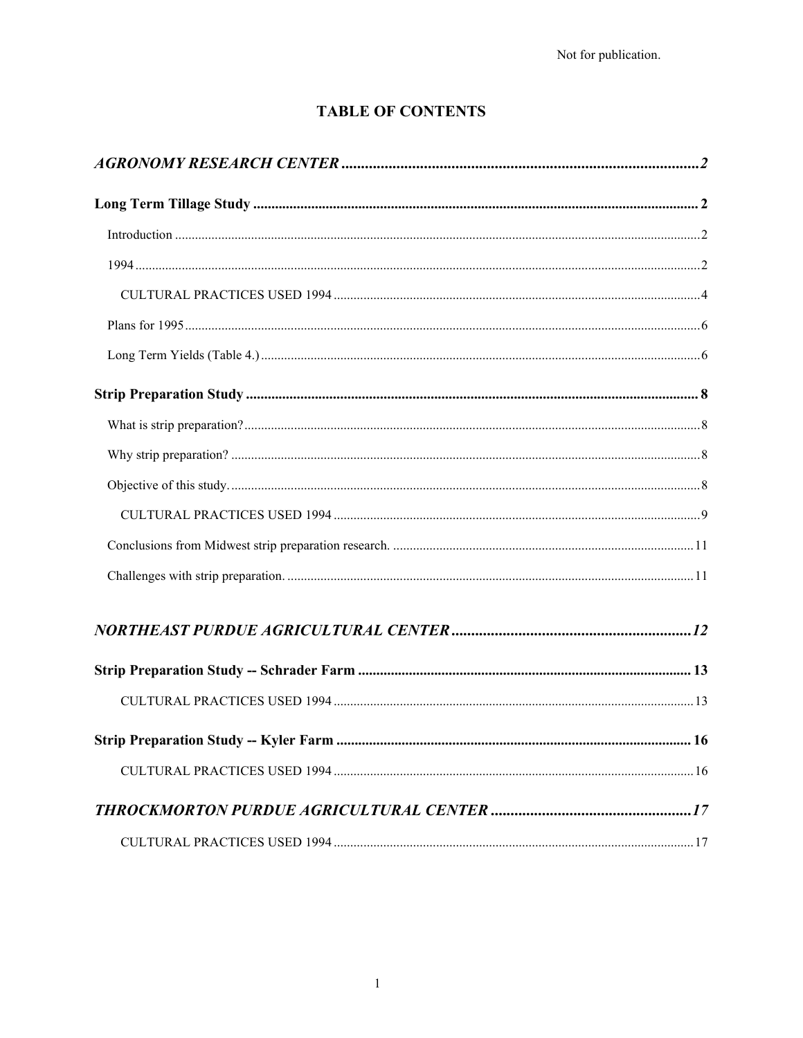# **TABLE OF CONTENTS**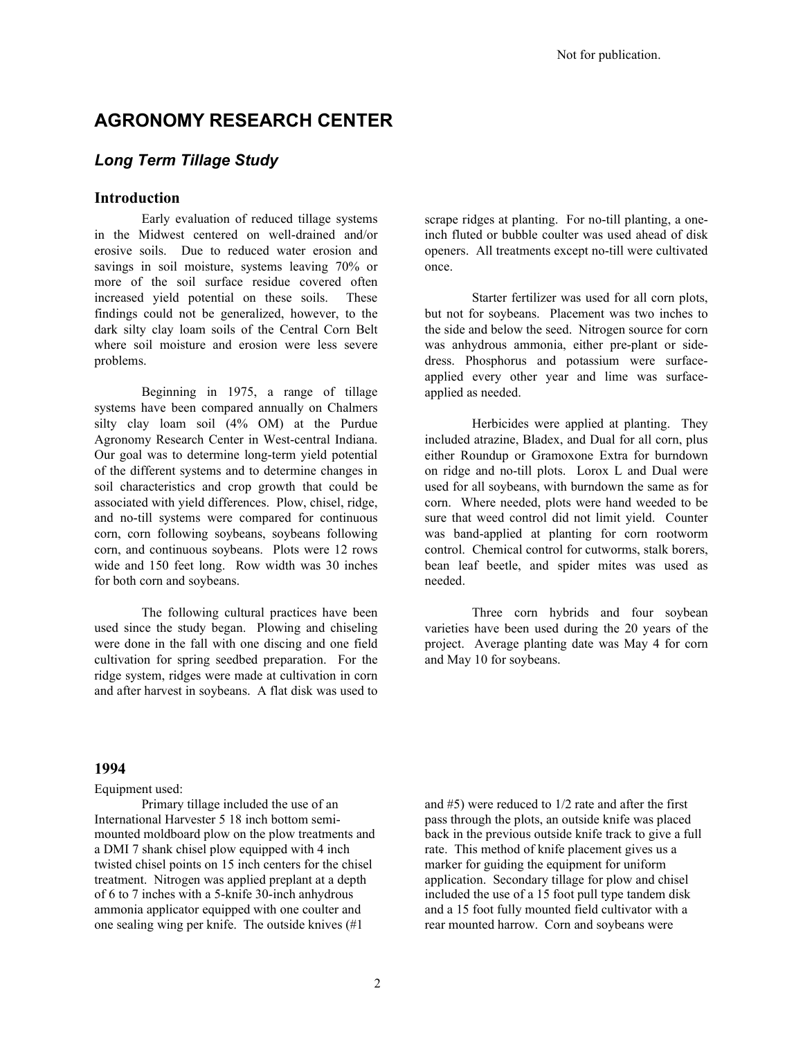# **AGRONOMY RESEARCH CENTER**

## *Long Term Tillage Study*

#### **Introduction**

Early evaluation of reduced tillage systems in the Midwest centered on well-drained and/or erosive soils. Due to reduced water erosion and savings in soil moisture, systems leaving 70% or more of the soil surface residue covered often increased yield potential on these soils. These findings could not be generalized, however, to the dark silty clay loam soils of the Central Corn Belt where soil moisture and erosion were less severe problems.

Beginning in 1975, a range of tillage systems have been compared annually on Chalmers silty clay loam soil (4% OM) at the Purdue Agronomy Research Center in West-central Indiana. Our goal was to determine long-term yield potential of the different systems and to determine changes in soil characteristics and crop growth that could be associated with yield differences. Plow, chisel, ridge, and no-till systems were compared for continuous corn, corn following soybeans, soybeans following corn, and continuous soybeans. Plots were 12 rows wide and 150 feet long. Row width was 30 inches for both corn and soybeans.

The following cultural practices have been used since the study began. Plowing and chiseling were done in the fall with one discing and one field cultivation for spring seedbed preparation. For the ridge system, ridges were made at cultivation in corn and after harvest in soybeans. A flat disk was used to

scrape ridges at planting. For no-till planting, a oneinch fluted or bubble coulter was used ahead of disk openers. All treatments except no-till were cultivated once.

Starter fertilizer was used for all corn plots, but not for soybeans. Placement was two inches to the side and below the seed. Nitrogen source for corn was anhydrous ammonia, either pre-plant or sidedress. Phosphorus and potassium were surfaceapplied every other year and lime was surfaceapplied as needed.

Herbicides were applied at planting. They included atrazine, Bladex, and Dual for all corn, plus either Roundup or Gramoxone Extra for burndown on ridge and no-till plots. Lorox L and Dual were used for all soybeans, with burndown the same as for corn. Where needed, plots were hand weeded to be sure that weed control did not limit yield. Counter was band-applied at planting for corn rootworm control. Chemical control for cutworms, stalk borers, bean leaf beetle, and spider mites was used as needed.

Three corn hybrids and four soybean varieties have been used during the 20 years of the project. Average planting date was May 4 for corn and May 10 for soybeans.

#### **1994**

Equipment used:

Primary tillage included the use of an International Harvester 5 18 inch bottom semimounted moldboard plow on the plow treatments and a DMI 7 shank chisel plow equipped with 4 inch twisted chisel points on 15 inch centers for the chisel treatment. Nitrogen was applied preplant at a depth of 6 to 7 inches with a 5-knife 30-inch anhydrous ammonia applicator equipped with one coulter and one sealing wing per knife. The outside knives (#1

and #5) were reduced to 1/2 rate and after the first pass through the plots, an outside knife was placed back in the previous outside knife track to give a full rate. This method of knife placement gives us a marker for guiding the equipment for uniform application. Secondary tillage for plow and chisel included the use of a 15 foot pull type tandem disk and a 15 foot fully mounted field cultivator with a rear mounted harrow. Corn and soybeans were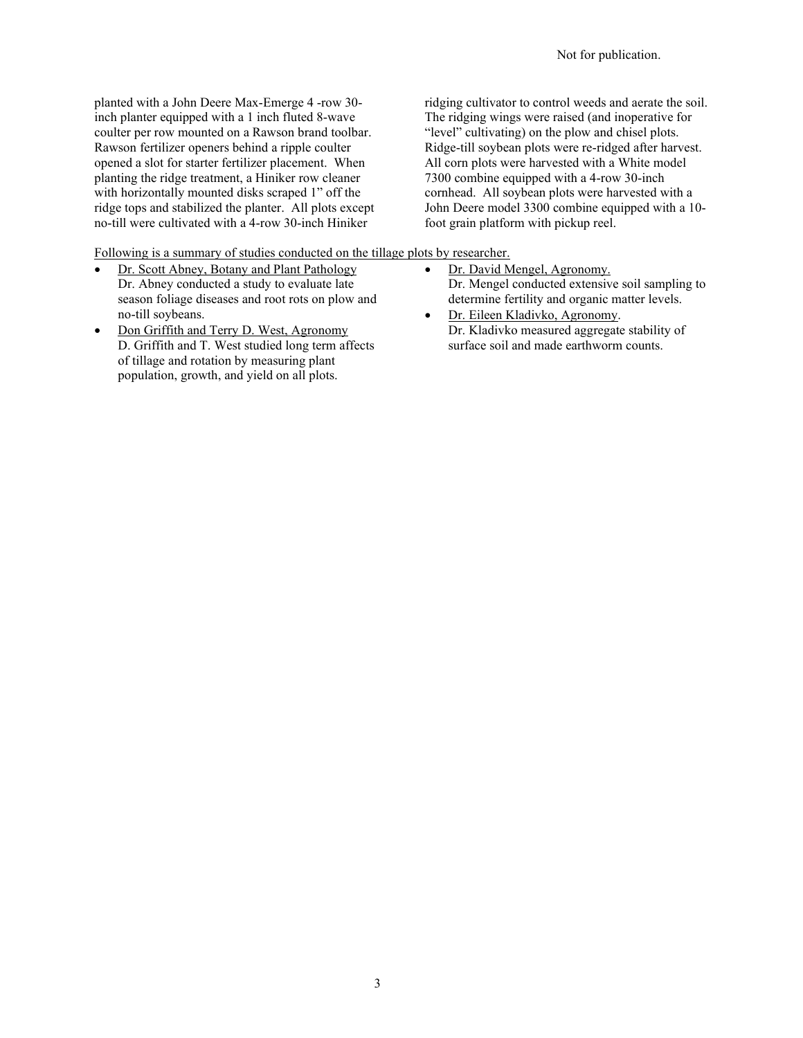planted with a John Deere Max-Emerge 4 -row 30 inch planter equipped with a 1 inch fluted 8-wave coulter per row mounted on a Rawson brand toolbar. Rawson fertilizer openers behind a ripple coulter opened a slot for starter fertilizer placement. When planting the ridge treatment, a Hiniker row cleaner with horizontally mounted disks scraped 1" off the ridge tops and stabilized the planter. All plots except no-till were cultivated with a 4-row 30-inch Hiniker

ridging cultivator to control weeds and aerate the soil. The ridging wings were raised (and inoperative for "level" cultivating) on the plow and chisel plots. Ridge-till soybean plots were re-ridged after harvest. All corn plots were harvested with a White model 7300 combine equipped with a 4-row 30-inch cornhead. All soybean plots were harvested with a John Deere model 3300 combine equipped with a 10 foot grain platform with pickup reel.

Following is a summary of studies conducted on the tillage plots by researcher.

- Dr. Scott Abney, Botany and Plant Pathology Dr. Abney conducted a study to evaluate late season foliage diseases and root rots on plow and no-till soybeans.
- Don Griffith and Terry D. West, Agronomy D. Griffith and T. West studied long term affects of tillage and rotation by measuring plant population, growth, and yield on all plots.

• Dr. David Mengel, Agronomy. Dr. Mengel conducted extensive soil sampling to

determine fertility and organic matter levels. • Dr. Eileen Kladivko, Agronomy. Dr. Kladivko measured aggregate stability of surface soil and made earthworm counts.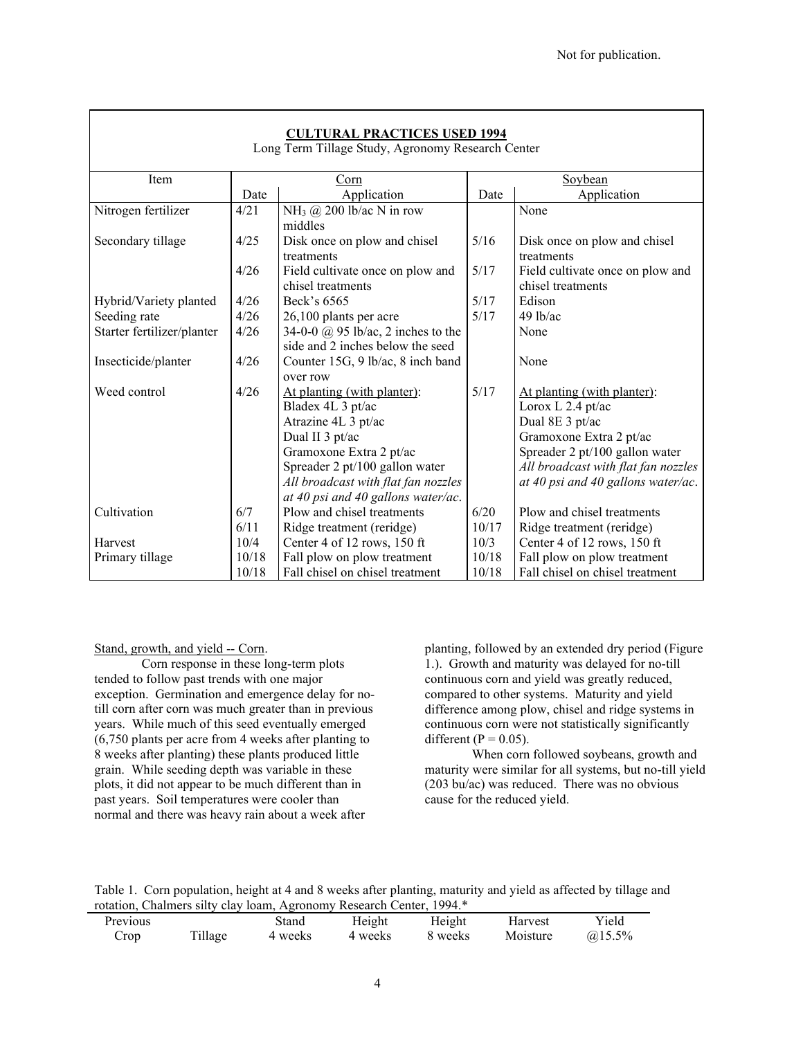| <b>CULTURAL PRACTICES USED 1994</b> |  |
|-------------------------------------|--|
|-------------------------------------|--|

|  | Long Term Tillage Study, Agronomy Research Center |  |  |  |
|--|---------------------------------------------------|--|--|--|
|--|---------------------------------------------------|--|--|--|

| Item                       |       | Corn                                      |       | Soybean                             |
|----------------------------|-------|-------------------------------------------|-------|-------------------------------------|
|                            | Date  | Application                               | Date  | Application                         |
| Nitrogen fertilizer        | 4/21  | NH <sub>3</sub> @ 200 lb/ac N in row      |       | None                                |
|                            |       | middles                                   |       |                                     |
| Secondary tillage          | 4/25  | Disk once on plow and chisel              | 5/16  | Disk once on plow and chisel        |
|                            |       | treatments                                |       | treatments                          |
|                            | 4/26  | Field cultivate once on plow and          | 5/17  | Field cultivate once on plow and    |
|                            |       | chisel treatments                         |       | chisel treatments                   |
| Hybrid/Variety planted     | 4/26  | Beck's 6565                               | 5/17  | Edison                              |
| Seeding rate               | 4/26  | 26,100 plants per acre                    | 5/17  | $49$ lb/ac                          |
| Starter fertilizer/planter | 4/26  | 34-0-0 $\omega$ 95 lb/ac, 2 inches to the |       | None                                |
|                            |       | side and 2 inches below the seed          |       |                                     |
| Insecticide/planter        | 4/26  | Counter 15G, 9 lb/ac, 8 inch band         |       | None                                |
|                            |       | over row                                  |       |                                     |
| Weed control               | 4/26  | At planting (with planter):               | 5/17  | At planting (with planter):         |
|                            |       | Bladex 4L 3 pt/ac                         |       | Lorox L 2.4 pt/ac                   |
|                            |       | Atrazine 4L 3 pt/ac                       |       | Dual 8E 3 pt/ac                     |
|                            |       | Dual II 3 pt/ac                           |       | Gramoxone Extra 2 pt/ac             |
|                            |       | Gramoxone Extra 2 pt/ac                   |       | Spreader 2 pt/100 gallon water      |
|                            |       | Spreader 2 pt/100 gallon water            |       | All broadcast with flat fan nozzles |
|                            |       | All broadcast with flat fan nozzles       |       | at 40 psi and 40 gallons water/ac.  |
|                            |       | at 40 psi and 40 gallons water/ac.        |       |                                     |
| Cultivation                | 6/7   | Plow and chisel treatments                | 6/20  | Plow and chisel treatments          |
|                            | 6/11  | Ridge treatment (reridge)                 | 10/17 | Ridge treatment (reridge)           |
| Harvest                    | 10/4  | Center 4 of 12 rows, 150 ft               | 10/3  | Center 4 of 12 rows, 150 ft         |
| Primary tillage            | 10/18 | Fall plow on plow treatment               | 10/18 | Fall plow on plow treatment         |
|                            | 10/18 | Fall chisel on chisel treatment           | 10/18 | Fall chisel on chisel treatment     |

#### Stand, growth, and yield -- Corn.

Corn response in these long-term plots tended to follow past trends with one major exception. Germination and emergence delay for notill corn after corn was much greater than in previous years. While much of this seed eventually emerged (6,750 plants per acre from 4 weeks after planting to 8 weeks after planting) these plants produced little grain. While seeding depth was variable in these plots, it did not appear to be much different than in past years. Soil temperatures were cooler than normal and there was heavy rain about a week after

planting, followed by an extended dry period (Figure 1.). Growth and maturity was delayed for no-till continuous corn and yield was greatly reduced, compared to other systems. Maturity and yield difference among plow, chisel and ridge systems in continuous corn were not statistically significantly different ( $P = 0.05$ ).

When corn followed soybeans, growth and maturity were similar for all systems, but no-till yield (203 bu/ac) was reduced. There was no obvious cause for the reduced yield.

Table 1. Corn population, height at 4 and 8 weeks after planting, maturity and yield as affected by tillage and rotation, Chalmers silty clay loam, Agronomy Research Center, 1994.\*

|                 |         | Totalon, Chambro Shty Vary Tourn, Tigionomy Resourch Center, 1994 |         |         |          |             |  |
|-----------------|---------|-------------------------------------------------------------------|---------|---------|----------|-------------|--|
| <b>Previous</b> |         | Stand                                                             | Height  | Height  | Harvest  | Yield       |  |
| Crop            | Tillage | 4 weeks                                                           | 4 weeks | 8 weeks | Moisture | $(a)$ 15.5% |  |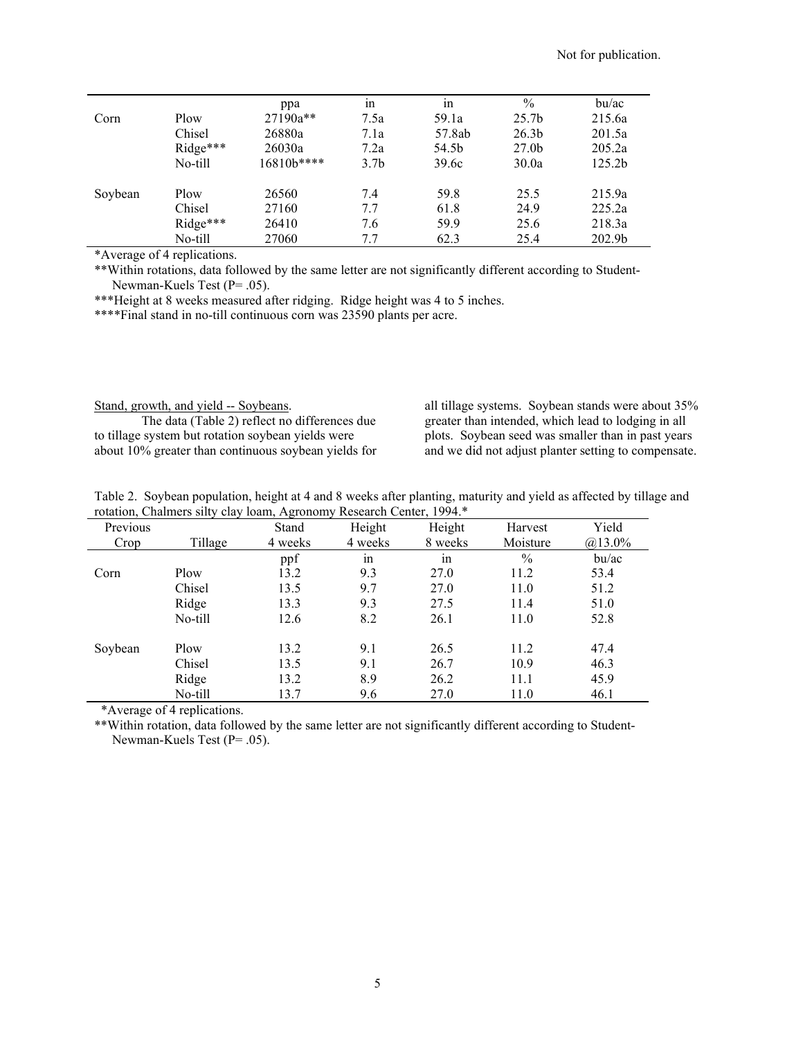|         |          | ppa         | 1n               | in     | $\frac{0}{0}$     | bu/ac              |
|---------|----------|-------------|------------------|--------|-------------------|--------------------|
| Corn    | Plow     | 27190a**    | 7.5a             | 59.1a  | 25.7 <sub>b</sub> | 215.6a             |
|         | Chisel   | 26880a      | 7.1a             | 57.8ab | 26.3 <sub>b</sub> | 201.5a             |
|         | Ridge*** | 26030a      | 7.2a             | 54.5b  | 27.0 <sub>b</sub> | 205.2a             |
|         | No-till  | $16810b***$ | 3.7 <sub>b</sub> | 39.6c  | 30.0a             | 125.2 <sub>b</sub> |
| Soybean | Plow     | 26560       | 7.4              | 59.8   | 25.5              | 215.9a             |
|         | Chisel   | 27160       | 7.7              | 61.8   | 24.9              | 225.2a             |
|         | Ridge*** | 26410       | 7.6              | 59.9   | 25.6              | 218.3a             |
|         | No-till  | 27060       | 7.7              | 62.3   | 25.4              | 202.9b             |

\*Average of 4 replications.

\*\*Within rotations, data followed by the same letter are not significantly different according to Student-Newman-Kuels Test (P= .05).

\*\*\*Height at 8 weeks measured after ridging. Ridge height was 4 to 5 inches.

\*\*\*\*Final stand in no-till continuous corn was 23590 plants per acre.

Stand, growth, and yield -- Soybeans. The data (Table 2) reflect no differences due

to tillage system but rotation soybean yields were about 10% greater than continuous soybean yields for

all tillage systems. Soybean stands were about 35% greater than intended, which lead to lodging in all plots. Soybean seed was smaller than in past years and we did not adjust planter setting to compensate.

| Table 2. Soybean population, height at 4 and 8 weeks after planting, maturity and yield as affected by tillage and |  |  |  |
|--------------------------------------------------------------------------------------------------------------------|--|--|--|
| rotation, Chalmers silty clay loam, Agronomy Research Center, 1994.*                                               |  |  |  |

| Previous |         | Stand   | Height  | Height  | Harvest       | Yield     |
|----------|---------|---------|---------|---------|---------------|-----------|
| Crop     | Tillage | 4 weeks | 4 weeks | 8 weeks | Moisture      | $@13.0\%$ |
|          |         | ppf     | ٠<br>1n | 1n      | $\frac{0}{0}$ | bu/ac     |
| Corn     | Plow    | 13.2    | 9.3     | 27.0    | 11.2          | 53.4      |
|          | Chisel  | 13.5    | 9.7     | 27.0    | 11.0          | 51.2      |
|          | Ridge   | 13.3    | 9.3     | 27.5    | 11.4          | 51.0      |
|          | No-till | 12.6    | 8.2     | 26.1    | 11.0          | 52.8      |
| Soybean  | Plow    | 13.2    | 9.1     | 26.5    | 11.2          | 47.4      |
|          | Chisel  | 13.5    | 9.1     | 26.7    | 10.9          | 46.3      |
|          | Ridge   | 13.2    | 8.9     | 26.2    | 11.1          | 45.9      |
|          | No-till | 13.7    | 9.6     | 27.0    | 11.0          | 46.1      |

\*Average of 4 replications.

\*\*Within rotation, data followed by the same letter are not significantly different according to Student-Newman-Kuels Test (P= .05).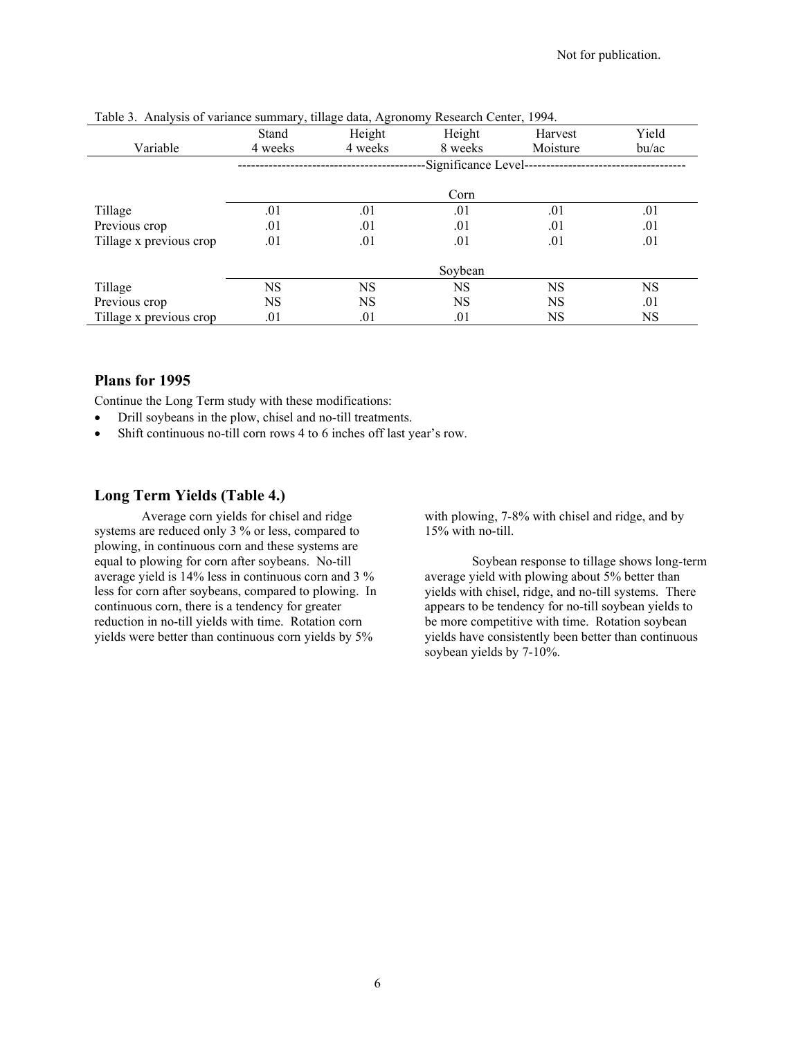|                         | Stand   | Height    | Height              | Harvest   | Yield     |
|-------------------------|---------|-----------|---------------------|-----------|-----------|
| Variable                | 4 weeks | 4 weeks   | 8 weeks             | Moisture  | bu/ac     |
|                         |         |           | Significance Level- |           |           |
|                         |         |           | Corn                |           |           |
| Tillage                 | .01     | .01       | .01                 | .01       | .01       |
| Previous crop           | .01     | .01       | .01                 | .01       | .01       |
| Tillage x previous crop | .01     | .01       | .01                 | .01       | .01       |
|                         |         |           | Soybean             |           |           |
| Tillage                 | NS      | <b>NS</b> | <b>NS</b>           | <b>NS</b> | <b>NS</b> |
| Previous crop           | NS      | <b>NS</b> | <b>NS</b>           | <b>NS</b> | .01       |
| Tillage x previous crop | .01     | .01       | .01                 | NS        | NS        |

Table 3. Analysis of variance summary, tillage data, Agronomy Research Center, 1994.

### **Plans for 1995**

Continue the Long Term study with these modifications:

- Drill soybeans in the plow, chisel and no-till treatments.
- Shift continuous no-till corn rows 4 to 6 inches off last year's row.

#### **Long Term Yields (Table 4.)**

Average corn yields for chisel and ridge systems are reduced only 3 % or less, compared to plowing, in continuous corn and these systems are equal to plowing for corn after soybeans. No-till average yield is 14% less in continuous corn and 3 % less for corn after soybeans, compared to plowing. In continuous corn, there is a tendency for greater reduction in no-till yields with time. Rotation corn yields were better than continuous corn yields by 5%

with plowing, 7-8% with chisel and ridge, and by 15% with no-till.

Soybean response to tillage shows long-term average yield with plowing about 5% better than yields with chisel, ridge, and no-till systems. There appears to be tendency for no-till soybean yields to be more competitive with time. Rotation soybean yields have consistently been better than continuous soybean yields by 7-10%.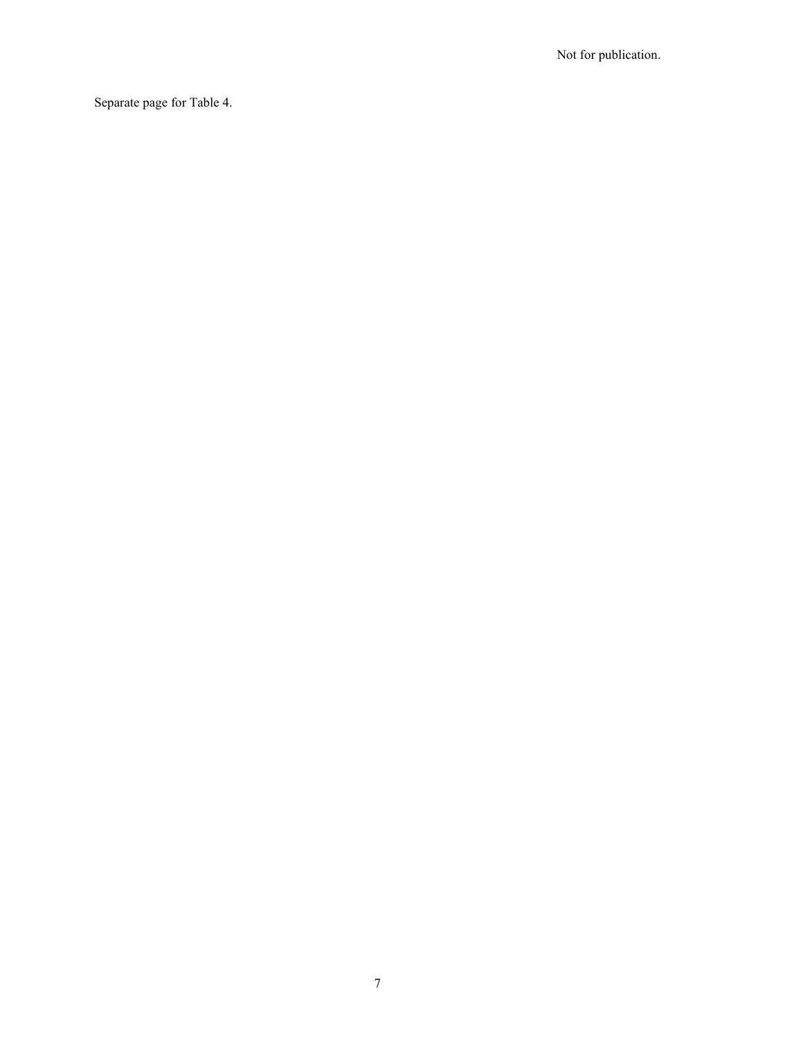Separate page for Table 4.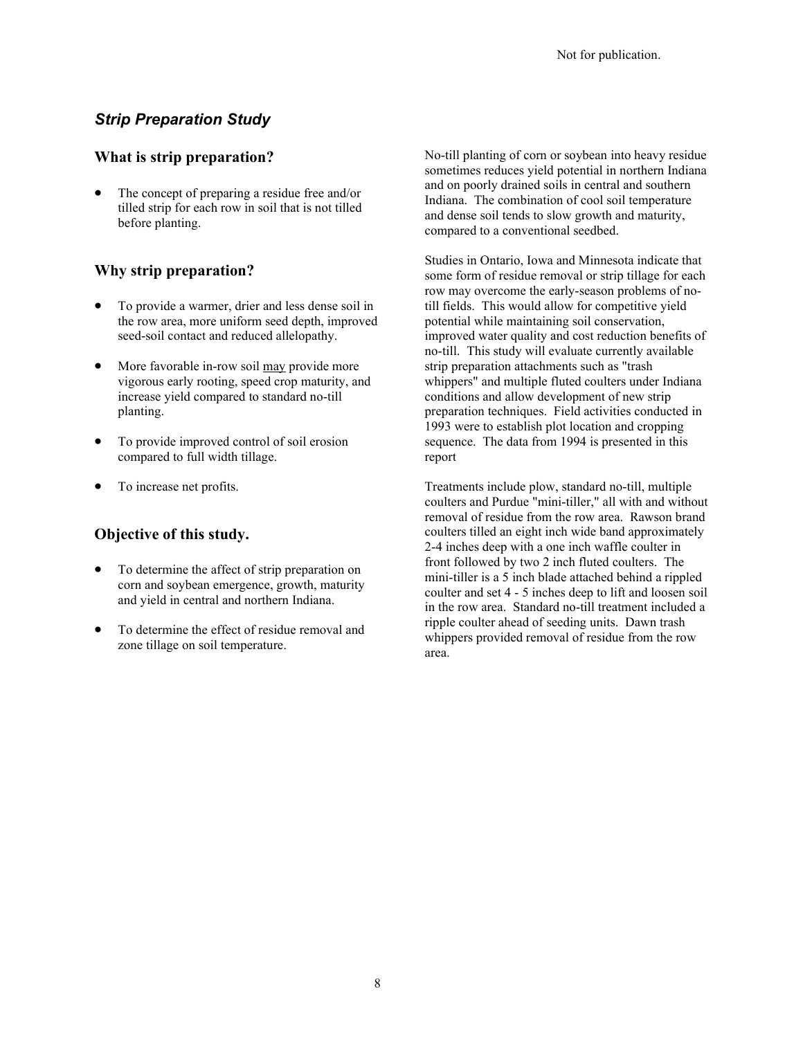## *Strip Preparation Study*

### **What is strip preparation?**

The concept of preparing a residue free and/or tilled strip for each row in soil that is not tilled before planting.

## **Why strip preparation?**

- To provide a warmer, drier and less dense soil in the row area, more uniform seed depth, improved seed-soil contact and reduced allelopathy.
- More favorable in-row soil may provide more vigorous early rooting, speed crop maturity, and increase yield compared to standard no-till planting.
- To provide improved control of soil erosion compared to full width tillage.
- To increase net profits.

## **Objective of this study.**

- To determine the affect of strip preparation on corn and soybean emergence, growth, maturity and yield in central and northern Indiana.
- To determine the effect of residue removal and zone tillage on soil temperature.

No-till planting of corn or soybean into heavy residue sometimes reduces yield potential in northern Indiana and on poorly drained soils in central and southern Indiana. The combination of cool soil temperature and dense soil tends to slow growth and maturity, compared to a conventional seedbed.

Studies in Ontario, Iowa and Minnesota indicate that some form of residue removal or strip tillage for each row may overcome the early-season problems of notill fields. This would allow for competitive yield potential while maintaining soil conservation, improved water quality and cost reduction benefits of no-till. This study will evaluate currently available strip preparation attachments such as "trash whippers" and multiple fluted coulters under Indiana conditions and allow development of new strip preparation techniques. Field activities conducted in 1993 were to establish plot location and cropping sequence. The data from 1994 is presented in this report

Treatments include plow, standard no-till, multiple coulters and Purdue "mini-tiller," all with and without removal of residue from the row area. Rawson brand coulters tilled an eight inch wide band approximately 2-4 inches deep with a one inch waffle coulter in front followed by two 2 inch fluted coulters. The mini-tiller is a 5 inch blade attached behind a rippled coulter and set 4 - 5 inches deep to lift and loosen soil in the row area. Standard no-till treatment included a ripple coulter ahead of seeding units. Dawn trash whippers provided removal of residue from the row area.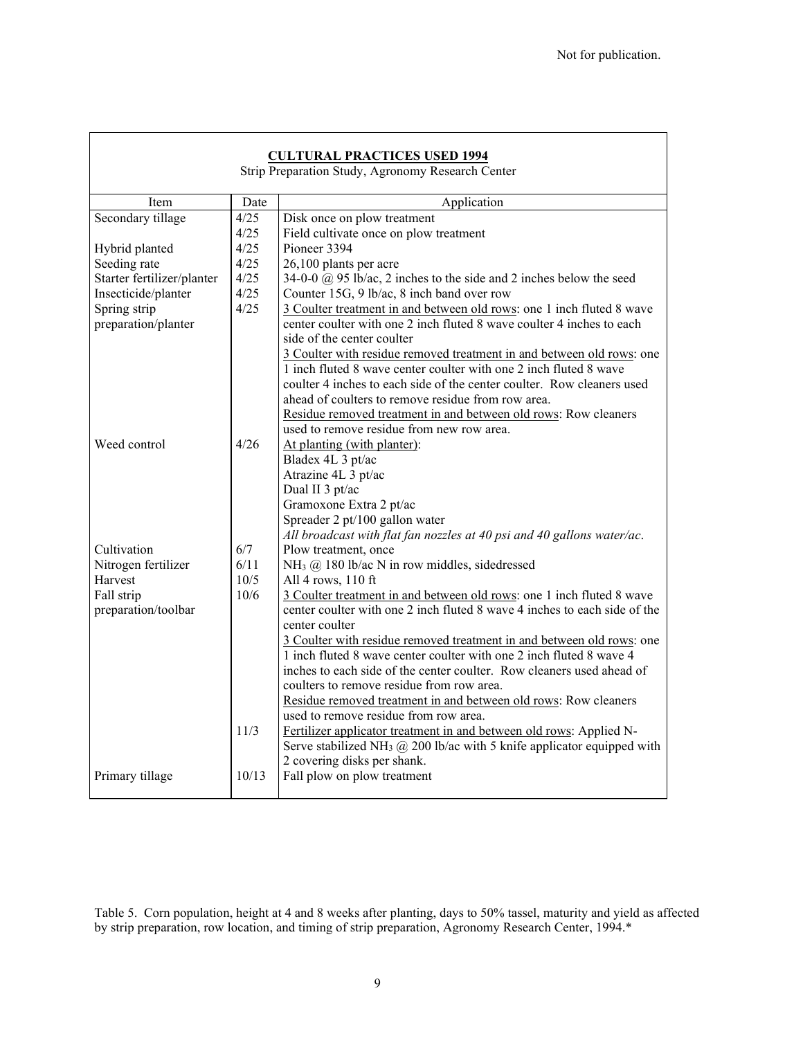| <b>CULTURAL PRACTICES USED 1994</b><br>Strip Preparation Study, Agronomy Research Center |       |                                                                                         |  |  |  |  |
|------------------------------------------------------------------------------------------|-------|-----------------------------------------------------------------------------------------|--|--|--|--|
| Item                                                                                     | Date  | Application                                                                             |  |  |  |  |
| Secondary tillage                                                                        | 4/25  | Disk once on plow treatment                                                             |  |  |  |  |
|                                                                                          | 4/25  | Field cultivate once on plow treatment                                                  |  |  |  |  |
| Hybrid planted                                                                           | 4/25  | Pioneer 3394                                                                            |  |  |  |  |
| Seeding rate                                                                             | 4/25  | 26,100 plants per acre                                                                  |  |  |  |  |
| Starter fertilizer/planter                                                               | 4/25  | 34-0-0 $\omega$ 95 lb/ac, 2 inches to the side and 2 inches below the seed              |  |  |  |  |
| Insecticide/planter                                                                      | 4/25  | Counter 15G, 9 lb/ac, 8 inch band over row                                              |  |  |  |  |
| Spring strip                                                                             | 4/25  | 3 Coulter treatment in and between old rows: one 1 inch fluted 8 wave                   |  |  |  |  |
| preparation/planter                                                                      |       | center coulter with one 2 inch fluted 8 wave coulter 4 inches to each                   |  |  |  |  |
|                                                                                          |       | side of the center coulter                                                              |  |  |  |  |
|                                                                                          |       | 3 Coulter with residue removed treatment in and between old rows: one                   |  |  |  |  |
|                                                                                          |       | 1 inch fluted 8 wave center coulter with one 2 inch fluted 8 wave                       |  |  |  |  |
|                                                                                          |       | coulter 4 inches to each side of the center coulter. Row cleaners used                  |  |  |  |  |
|                                                                                          |       | ahead of coulters to remove residue from row area.                                      |  |  |  |  |
|                                                                                          |       | Residue removed treatment in and between old rows: Row cleaners                         |  |  |  |  |
|                                                                                          |       | used to remove residue from new row area.                                               |  |  |  |  |
| Weed control                                                                             | 4/26  | At planting (with planter):                                                             |  |  |  |  |
|                                                                                          |       | Bladex 4L 3 pt/ac                                                                       |  |  |  |  |
|                                                                                          |       | Atrazine 4L 3 pt/ac                                                                     |  |  |  |  |
|                                                                                          |       | Dual II 3 pt/ac                                                                         |  |  |  |  |
|                                                                                          |       | Gramoxone Extra 2 pt/ac                                                                 |  |  |  |  |
|                                                                                          |       | Spreader 2 pt/100 gallon water                                                          |  |  |  |  |
|                                                                                          |       | All broadcast with flat fan nozzles at 40 psi and 40 gallons water/ac.                  |  |  |  |  |
| Cultivation                                                                              | 6/7   | Plow treatment, once                                                                    |  |  |  |  |
| Nitrogen fertilizer                                                                      | 6/11  | NH <sub>3</sub> @ 180 lb/ac N in row middles, sidedressed                               |  |  |  |  |
| Harvest                                                                                  | 10/5  | All 4 rows, 110 ft                                                                      |  |  |  |  |
| Fall strip                                                                               | 10/6  | 3 Coulter treatment in and between old rows: one 1 inch fluted 8 wave                   |  |  |  |  |
| preparation/toolbar                                                                      |       | center coulter with one 2 inch fluted 8 wave 4 inches to each side of the               |  |  |  |  |
|                                                                                          |       | center coulter                                                                          |  |  |  |  |
|                                                                                          |       | 3 Coulter with residue removed treatment in and between old rows: one                   |  |  |  |  |
|                                                                                          |       | 1 inch fluted 8 wave center coulter with one 2 inch fluted 8 wave 4                     |  |  |  |  |
|                                                                                          |       | inches to each side of the center coulter. Row cleaners used ahead of                   |  |  |  |  |
|                                                                                          |       | coulters to remove residue from row area.                                               |  |  |  |  |
|                                                                                          |       | Residue removed treatment in and between old rows: Row cleaners                         |  |  |  |  |
|                                                                                          |       | used to remove residue from row area.                                                   |  |  |  |  |
|                                                                                          | 11/3  | Fertilizer applicator treatment in and between old rows: Applied N-                     |  |  |  |  |
|                                                                                          |       | Serve stabilized NH <sub>3</sub> $(0, 200)$ lb/ac with 5 knife applicator equipped with |  |  |  |  |
|                                                                                          |       | 2 covering disks per shank.                                                             |  |  |  |  |
| Primary tillage                                                                          | 10/13 | Fall plow on plow treatment                                                             |  |  |  |  |
|                                                                                          |       |                                                                                         |  |  |  |  |

 $\mathbf{r}$ 

Table 5. Corn population, height at 4 and 8 weeks after planting, days to 50% tassel, maturity and yield as affected by strip preparation, row location, and timing of strip preparation, Agronomy Research Center, 1994.\*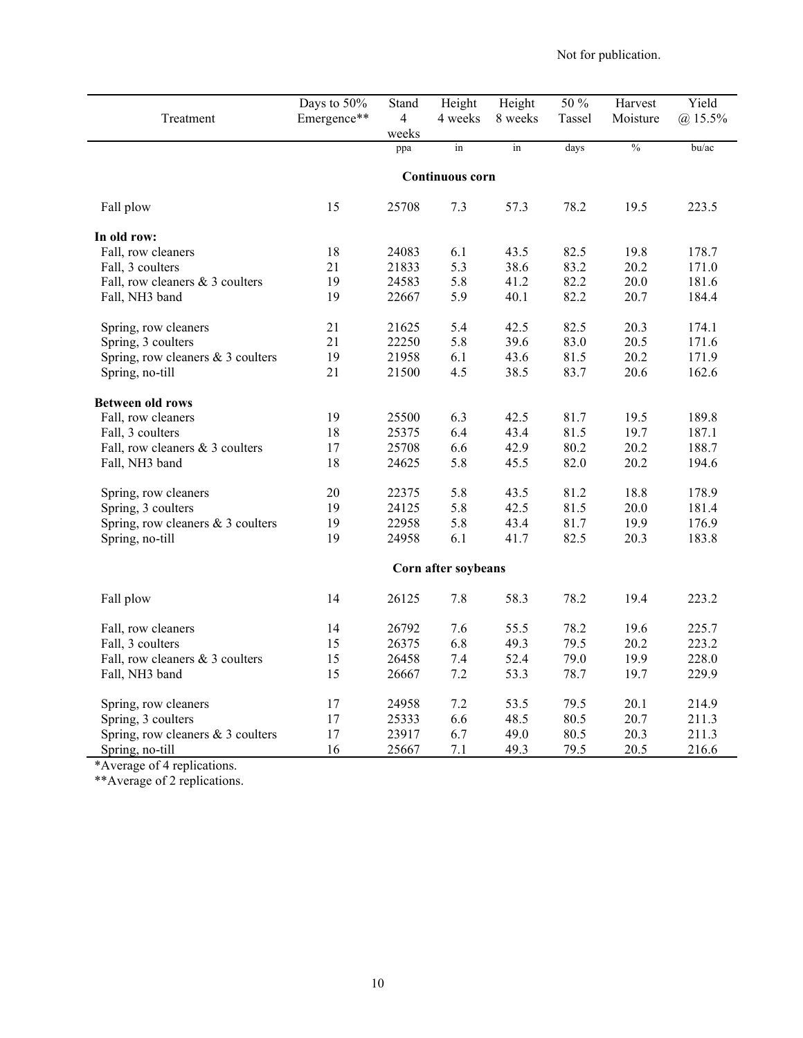|                                     | Days to 50%<br>Emergence** | Stand<br>$\overline{4}$ | Height<br>4 weeks   | Height<br>8 weeks   | 50 %<br>Tassel | Harvest       | Yield     |
|-------------------------------------|----------------------------|-------------------------|---------------------|---------------------|----------------|---------------|-----------|
| Treatment                           |                            | weeks                   |                     |                     |                | Moisture      | $@15.5\%$ |
|                                     |                            | ppa                     | in                  | $\operatorname{in}$ | days           | $\frac{0}{0}$ | bu/ac     |
|                                     |                            |                         | Continuous corn     |                     |                |               |           |
|                                     |                            |                         |                     |                     |                |               |           |
| Fall plow                           | 15                         | 25708                   | 7.3                 | 57.3                | 78.2           | 19.5          | 223.5     |
| In old row:                         |                            |                         |                     |                     |                |               |           |
| Fall, row cleaners                  | 18                         | 24083                   | 6.1                 | 43.5                | 82.5           | 19.8          | 178.7     |
| Fall, 3 coulters                    | 21                         | 21833                   | 5.3                 | 38.6                | 83.2           | 20.2          | 171.0     |
| Fall, row cleaners & 3 coulters     | 19                         | 24583                   | 5.8                 | 41.2                | 82.2           | 20.0          | 181.6     |
| Fall, NH3 band                      | 19                         | 22667                   | 5.9                 | 40.1                | 82.2           | 20.7          | 184.4     |
| Spring, row cleaners                | 21                         | 21625                   | 5.4                 | 42.5                | 82.5           | 20.3          | 174.1     |
| Spring, 3 coulters                  | 21                         | 22250                   | 5.8                 | 39.6                | 83.0           | 20.5          | 171.6     |
| Spring, row cleaners $& 3$ coulters | 19                         | 21958                   | 6.1                 | 43.6                | 81.5           | 20.2          | 171.9     |
| Spring, no-till                     | 21                         | 21500                   | 4.5                 | 38.5                | 83.7           | 20.6          | 162.6     |
| <b>Between old rows</b>             |                            |                         |                     |                     |                |               |           |
| Fall, row cleaners                  | 19                         | 25500                   | 6.3                 | 42.5                | 81.7           | 19.5          | 189.8     |
| Fall, 3 coulters                    | 18                         | 25375                   | 6.4                 | 43.4                | 81.5           | 19.7          | 187.1     |
| Fall, row cleaners & 3 coulters     | 17                         | 25708                   | 6.6                 | 42.9                | 80.2           | 20.2          | 188.7     |
| Fall, NH3 band                      | 18                         | 24625                   | 5.8                 | 45.5                | 82.0           | 20.2          | 194.6     |
| Spring, row cleaners                | 20                         | 22375                   | 5.8                 | 43.5                | 81.2           | 18.8          | 178.9     |
| Spring, 3 coulters                  | 19                         | 24125                   | 5.8                 | 42.5                | 81.5           | 20.0          | 181.4     |
| Spring, row cleaners & 3 coulters   | 19                         | 22958                   | 5.8                 | 43.4                | 81.7           | 19.9          | 176.9     |
| Spring, no-till                     | 19                         | 24958                   | 6.1                 | 41.7                | 82.5           | 20.3          | 183.8     |
|                                     |                            |                         | Corn after soybeans |                     |                |               |           |
| Fall plow                           | 14                         | 26125                   | 7.8                 | 58.3                | 78.2           | 19.4          | 223.2     |
| Fall, row cleaners                  | 14                         | 26792                   | 7.6                 | 55.5                | 78.2           | 19.6          | 225.7     |
| Fall, 3 coulters                    | 15                         | 26375                   | 6.8                 | 49.3                | 79.5           | 20.2          | 223.2     |
| Fall, row cleaners & 3 coulters     | 15                         | 26458                   | 7.4                 | 52.4                | 79.0           | 19.9          | 228.0     |
| Fall, NH3 band                      | 15                         | 26667                   | 7.2                 | 53.3                | 78.7           | 19.7          | 229.9     |
| Spring, row cleaners                | 17                         | 24958                   | 7.2                 | 53.5                | 79.5           | 20.1          | 214.9     |
| Spring, 3 coulters                  | 17                         | 25333                   | 6.6                 | 48.5                | 80.5           | 20.7          | 211.3     |
| Spring, row cleaners $& 3$ coulters | 17                         | 23917                   | 6.7                 | 49.0                | 80.5           | 20.3          | 211.3     |
| Spring, no-till                     | 16                         | 25667                   | 7.1                 | 49.3                | 79.5           | 20.5          | 216.6     |

\*Average of 4 replications.

\*\*Average of 2 replications.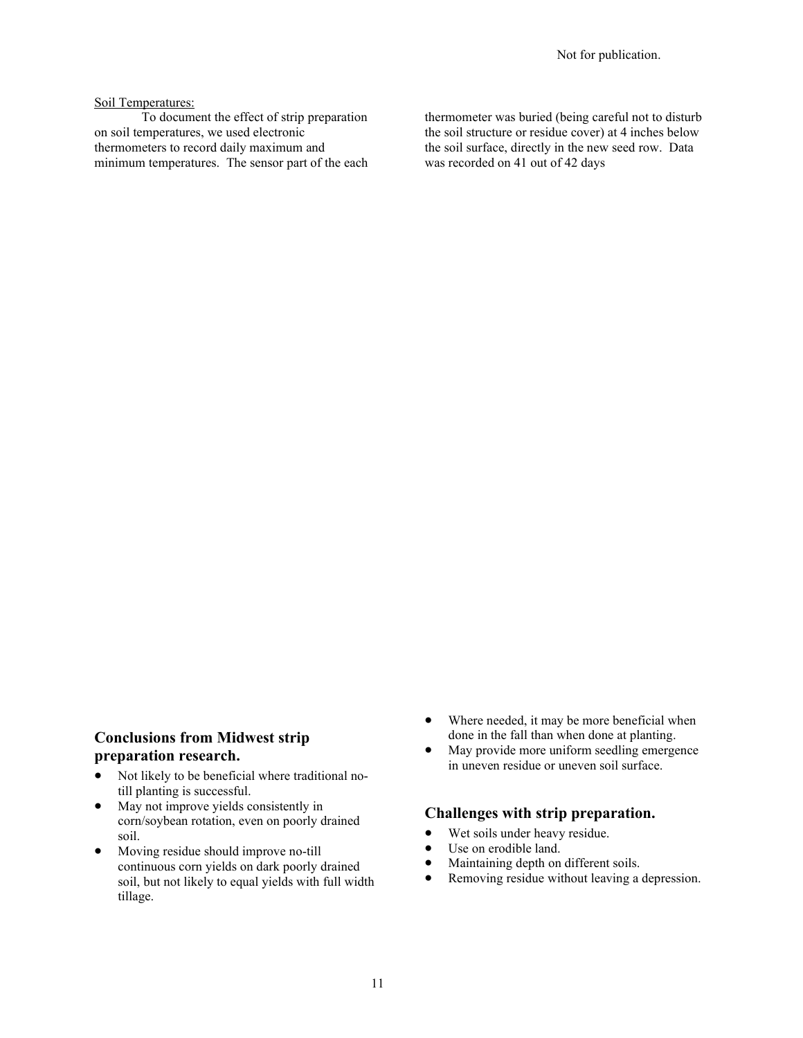#### Soil Temperatures:

To document the effect of strip preparation on soil temperatures, we used electronic thermometers to record daily maximum and minimum temperatures. The sensor part of the each thermometer was buried (being careful not to disturb the soil structure or residue cover) at 4 inches below the soil surface, directly in the new seed row. Data was recorded on 41 out of 42 days

### **Conclusions from Midwest strip preparation research.**

- Not likely to be beneficial where traditional notill planting is successful.
- May not improve yields consistently in corn/soybean rotation, even on poorly drained soil.
- Moving residue should improve no-till continuous corn yields on dark poorly drained soil, but not likely to equal yields with full width tillage.
- Where needed, it may be more beneficial when done in the fall than when done at planting.
- May provide more uniform seedling emergence in uneven residue or uneven soil surface.

### **Challenges with strip preparation.**

- Wet soils under heavy residue.
- Use on erodible land.
- Maintaining depth on different soils.
- Removing residue without leaving a depression.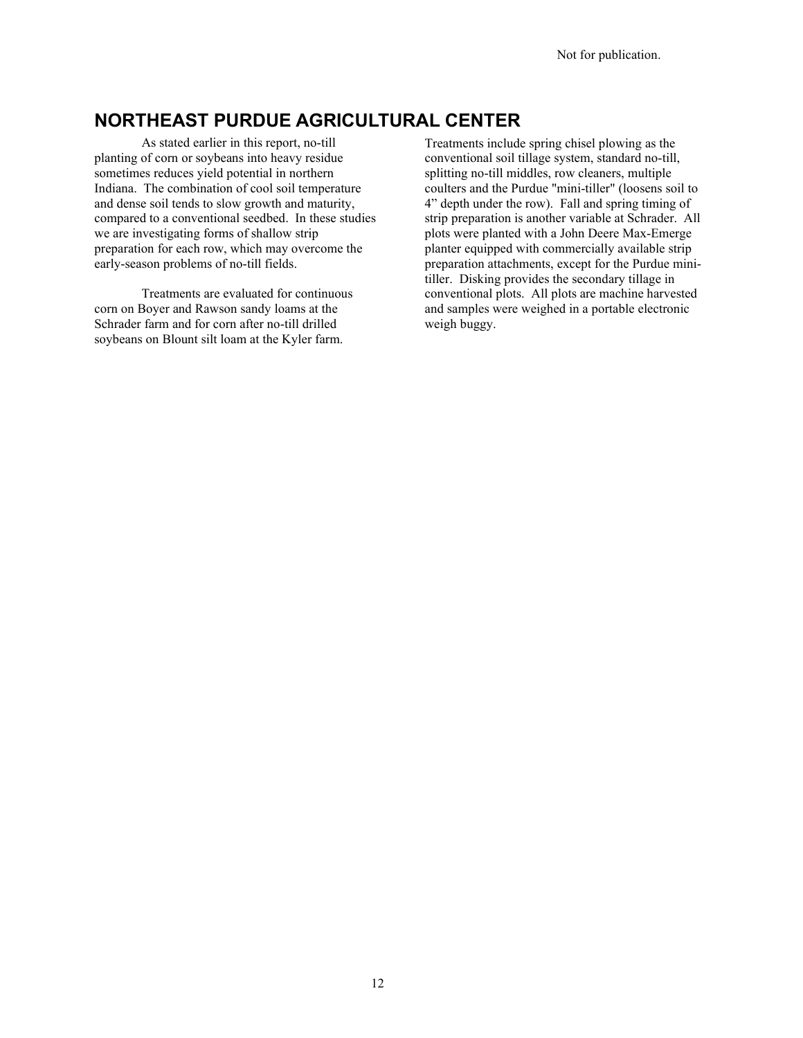# **NORTHEAST PURDUE AGRICULTURAL CENTER**

As stated earlier in this report, no-till planting of corn or soybeans into heavy residue sometimes reduces yield potential in northern Indiana. The combination of cool soil temperature and dense soil tends to slow growth and maturity, compared to a conventional seedbed. In these studies we are investigating forms of shallow strip preparation for each row, which may overcome the early-season problems of no-till fields.

Treatments are evaluated for continuous corn on Boyer and Rawson sandy loams at the Schrader farm and for corn after no-till drilled soybeans on Blount silt loam at the Kyler farm.

Treatments include spring chisel plowing as the conventional soil tillage system, standard no-till, splitting no-till middles, row cleaners, multiple coulters and the Purdue "mini-tiller" (loosens soil to 4" depth under the row). Fall and spring timing of strip preparation is another variable at Schrader. All plots were planted with a John Deere Max-Emerge planter equipped with commercially available strip preparation attachments, except for the Purdue minitiller. Disking provides the secondary tillage in conventional plots. All plots are machine harvested and samples were weighed in a portable electronic weigh buggy.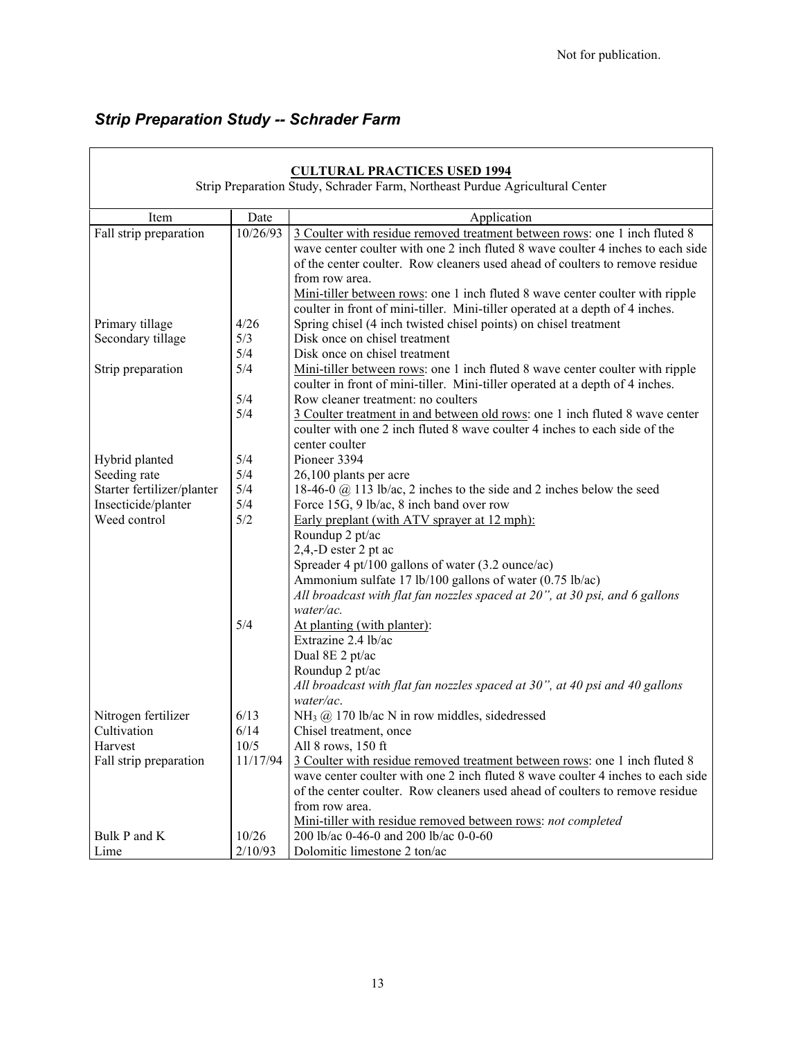# *Strip Preparation Study -- Schrader Farm*

|                            |          | <b>CULTURAL PRACTICES USED 1994</b>                                                                                                                                                                                                                                                                                                                                                                                               |
|----------------------------|----------|-----------------------------------------------------------------------------------------------------------------------------------------------------------------------------------------------------------------------------------------------------------------------------------------------------------------------------------------------------------------------------------------------------------------------------------|
|                            |          | Strip Preparation Study, Schrader Farm, Northeast Purdue Agricultural Center                                                                                                                                                                                                                                                                                                                                                      |
| Item                       | Date     | Application                                                                                                                                                                                                                                                                                                                                                                                                                       |
| Fall strip preparation     | 10/26/93 | 3 Coulter with residue removed treatment between rows: one 1 inch fluted 8<br>wave center coulter with one 2 inch fluted 8 wave coulter 4 inches to each side<br>of the center coulter. Row cleaners used ahead of coulters to remove residue<br>from row area.<br>Mini-tiller between rows: one 1 inch fluted 8 wave center coulter with ripple<br>coulter in front of mini-tiller. Mini-tiller operated at a depth of 4 inches. |
| Primary tillage            | 4/26     | Spring chisel (4 inch twisted chisel points) on chisel treatment                                                                                                                                                                                                                                                                                                                                                                  |
| Secondary tillage          | 5/3      | Disk once on chisel treatment                                                                                                                                                                                                                                                                                                                                                                                                     |
|                            | 5/4      | Disk once on chisel treatment                                                                                                                                                                                                                                                                                                                                                                                                     |
| Strip preparation          | 5/4      | Mini-tiller between rows: one 1 inch fluted 8 wave center coulter with ripple<br>coulter in front of mini-tiller. Mini-tiller operated at a depth of 4 inches.                                                                                                                                                                                                                                                                    |
|                            | 5/4      | Row cleaner treatment: no coulters                                                                                                                                                                                                                                                                                                                                                                                                |
|                            | 5/4      | 3 Coulter treatment in and between old rows: one 1 inch fluted 8 wave center<br>coulter with one 2 inch fluted 8 wave coulter 4 inches to each side of the<br>center coulter                                                                                                                                                                                                                                                      |
| Hybrid planted             | 5/4      | Pioneer 3394                                                                                                                                                                                                                                                                                                                                                                                                                      |
| Seeding rate               | 5/4      | 26,100 plants per acre                                                                                                                                                                                                                                                                                                                                                                                                            |
| Starter fertilizer/planter | 5/4      | 18-46-0 @ 113 lb/ac, 2 inches to the side and 2 inches below the seed                                                                                                                                                                                                                                                                                                                                                             |
| Insecticide/planter        | 5/4      | Force 15G, 9 lb/ac, 8 inch band over row                                                                                                                                                                                                                                                                                                                                                                                          |
| Weed control               | 5/2      | Early preplant (with ATV sprayer at 12 mph):                                                                                                                                                                                                                                                                                                                                                                                      |
|                            |          | Roundup 2 pt/ac                                                                                                                                                                                                                                                                                                                                                                                                                   |
|                            |          | 2,4,-D ester 2 pt ac                                                                                                                                                                                                                                                                                                                                                                                                              |
|                            |          | Spreader 4 pt/100 gallons of water (3.2 ounce/ac)                                                                                                                                                                                                                                                                                                                                                                                 |
|                            |          | Ammonium sulfate 17 lb/100 gallons of water (0.75 lb/ac)                                                                                                                                                                                                                                                                                                                                                                          |
|                            |          | All broadcast with flat fan nozzles spaced at 20", at 30 psi, and 6 gallons                                                                                                                                                                                                                                                                                                                                                       |
|                            |          | water/ac.                                                                                                                                                                                                                                                                                                                                                                                                                         |
|                            | 5/4      | At planting (with planter):                                                                                                                                                                                                                                                                                                                                                                                                       |
|                            |          | Extrazine 2.4 lb/ac                                                                                                                                                                                                                                                                                                                                                                                                               |
|                            |          | Dual 8E 2 pt/ac                                                                                                                                                                                                                                                                                                                                                                                                                   |
|                            |          | Roundup 2 pt/ac                                                                                                                                                                                                                                                                                                                                                                                                                   |
|                            |          | All broadcast with flat fan nozzles spaced at 30", at 40 psi and 40 gallons                                                                                                                                                                                                                                                                                                                                                       |
|                            |          | water/ac.                                                                                                                                                                                                                                                                                                                                                                                                                         |
| Nitrogen fertilizer        | 6/13     | $NH3$ ( $@$ 170 lb/ac N in row middles, sidedressed                                                                                                                                                                                                                                                                                                                                                                               |
| Cultivation                | 6/14     | Chisel treatment, once                                                                                                                                                                                                                                                                                                                                                                                                            |
| Harvest                    | 10/5     | All 8 rows, 150 ft                                                                                                                                                                                                                                                                                                                                                                                                                |
| Fall strip preparation     | 11/17/94 | 3 Coulter with residue removed treatment between rows: one 1 inch fluted 8                                                                                                                                                                                                                                                                                                                                                        |
|                            |          | wave center coulter with one 2 inch fluted 8 wave coulter 4 inches to each side                                                                                                                                                                                                                                                                                                                                                   |
|                            |          | of the center coulter. Row cleaners used ahead of coulters to remove residue                                                                                                                                                                                                                                                                                                                                                      |
|                            |          | from row area.                                                                                                                                                                                                                                                                                                                                                                                                                    |
|                            |          | Mini-tiller with residue removed between rows: not completed                                                                                                                                                                                                                                                                                                                                                                      |
| Bulk P and K               | 10/26    | 200 lb/ac 0-46-0 and 200 lb/ac 0-0-60                                                                                                                                                                                                                                                                                                                                                                                             |
| Lime                       | 2/10/93  | Dolomitic limestone 2 ton/ac                                                                                                                                                                                                                                                                                                                                                                                                      |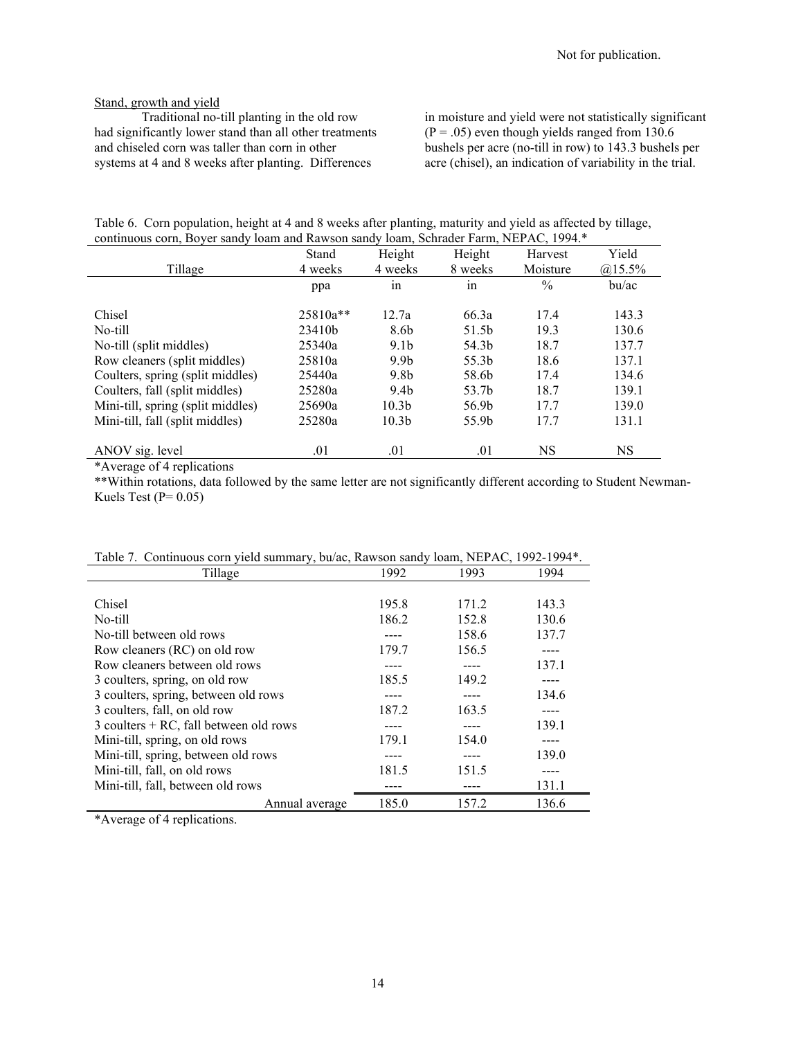### Stand, growth and yield

Traditional no-till planting in the old row had significantly lower stand than all other treatments and chiseled corn was taller than corn in other systems at 4 and 8 weeks after planting. Differences

in moisture and yield were not statistically significant  $(P = .05)$  even though yields ranged from 130.6 bushels per acre (no-till in row) to 143.3 bushels per acre (chisel), an indication of variability in the trial.

|  |                                                                                       |  | Table 6. Corn population, height at 4 and 8 weeks after planting, maturity and yield as affected by tillage, |  |
|--|---------------------------------------------------------------------------------------|--|--------------------------------------------------------------------------------------------------------------|--|
|  | continuous corn, Boyer sandy loam and Rawson sandy loam, Schrader Farm, NEPAC, 1994.* |  |                                                                                                              |  |

|                                   | Stand    | Height            | Height  | Harvest       | Yield     |
|-----------------------------------|----------|-------------------|---------|---------------|-----------|
| Tillage                           | 4 weeks  | 4 weeks           | 8 weeks | Moisture      | $@15.5\%$ |
|                                   | ppa      | 1n                | in      | $\frac{0}{0}$ | bu/ac     |
| Chisel                            | 25810a** | 12.7a             | 66.3a   | 17.4          | 143.3     |
| No-till                           | 23410b   | 8.6b              | 51.5b   | 19.3          | 130.6     |
| No-till (split middles)           | 25340a   | 9.1 <sub>b</sub>  | 54.3b   | 18.7          | 137.7     |
| Row cleaners (split middles)      | 25810a   | 9.9 <sub>b</sub>  | 55.3b   | 18.6          | 137.1     |
| Coulters, spring (split middles)  | 25440a   | 9.8b              | 58.6b   | 17.4          | 134.6     |
| Coulters, fall (split middles)    | 25280a   | 9.4 <sub>b</sub>  | 53.7b   | 18.7          | 139.1     |
| Mini-till, spring (split middles) | 25690a   | 10.3 <sub>b</sub> | 56.9b   | 17.7          | 139.0     |
| Mini-till, fall (split middles)   | 25280a   | 10.3 <sub>b</sub> | 55.9b   | 17.7          | 131.1     |
| ANOV sig. level                   | .01      | .01               | .01     | NS            | NS        |

\*Average of 4 replications

\*\*Within rotations, data followed by the same letter are not significantly different according to Student Newman-Kuels Test ( $P= 0.05$ )

| Tillage                                  | 1992  | 1993  | 1994  |
|------------------------------------------|-------|-------|-------|
|                                          |       |       |       |
| Chisel                                   | 195.8 | 171.2 | 143.3 |
| No-till                                  | 186.2 | 152.8 | 130.6 |
| No-till between old rows                 |       | 158.6 | 137.7 |
| Row cleaners (RC) on old row             | 179.7 | 156.5 |       |
| Row cleaners between old rows            |       |       | 137.1 |
| 3 coulters, spring, on old row           | 185.5 | 149.2 |       |
| 3 coulters, spring, between old rows     |       |       | 134.6 |
| 3 coulters, fall, on old row             | 187.2 | 163.5 |       |
| $3$ coulters + RC, fall between old rows |       |       | 139.1 |
| Mini-till, spring, on old rows           | 179.1 | 154.0 |       |
| Mini-till, spring, between old rows      |       |       | 139.0 |
| Mini-till, fall, on old rows             | 181.5 | 151.5 |       |
| Mini-till, fall, between old rows        |       |       | 131.1 |
| Annual average                           | 185.0 | 157.2 | 136.6 |

Table 7. Continuous corn yield summary, bu/ac, Rawson sandy loam, NEPAC, 1992-1994\*.

\*Average of 4 replications.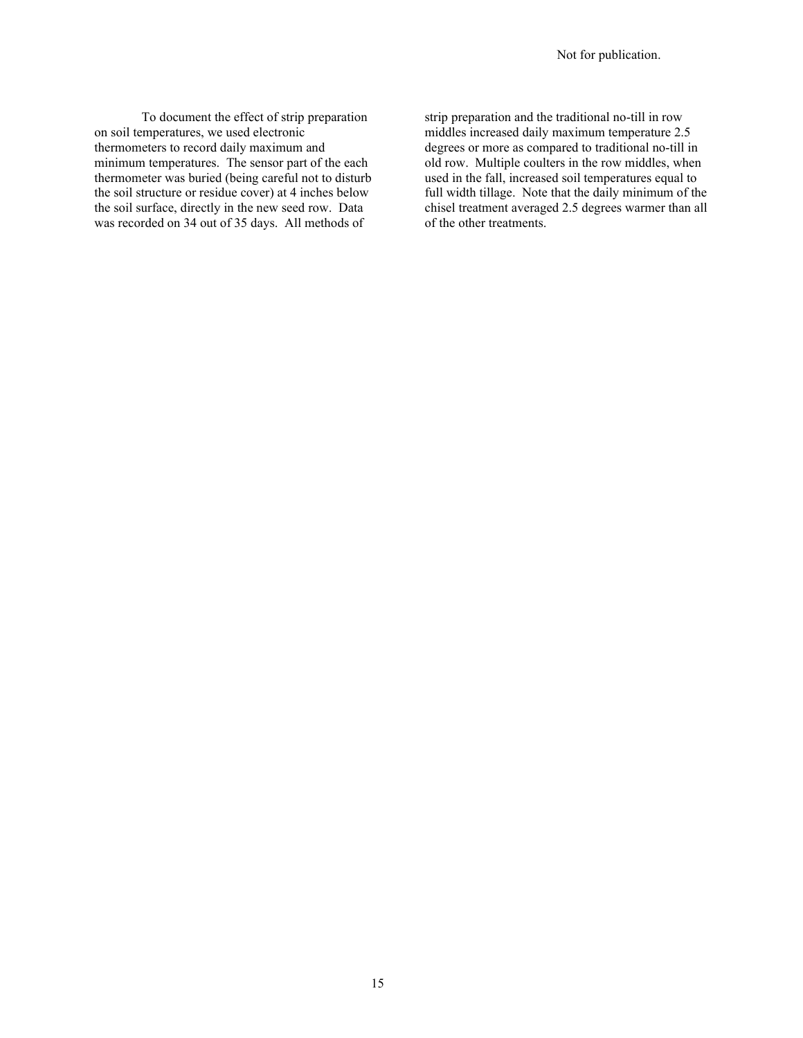To document the effect of strip preparation on soil temperatures, we used electronic thermometers to record daily maximum and minimum temperatures. The sensor part of the each thermometer was buried (being careful not to disturb the soil structure or residue cover) at 4 inches below the soil surface, directly in the new seed row. Data was recorded on 34 out of 35 days. All methods of

strip preparation and the traditional no-till in row middles increased daily maximum temperature 2.5 degrees or more as compared to traditional no-till in old row. Multiple coulters in the row middles, when used in the fall, increased soil temperatures equal to full width tillage. Note that the daily minimum of the chisel treatment averaged 2.5 degrees warmer than all of the other treatments.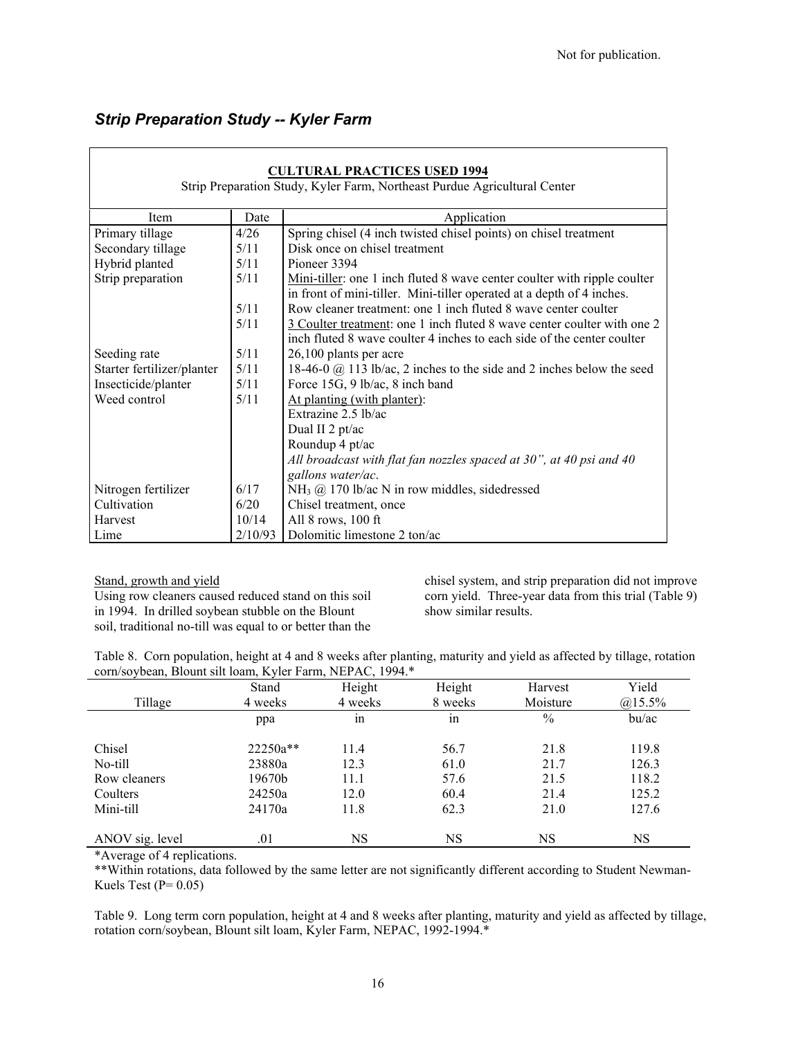# *Strip Preparation Study -- Kyler Farm*

| <b>CULTURAL PRACTICES USED 1994</b><br>Strip Preparation Study, Kyler Farm, Northeast Purdue Agricultural Center                                                               |                                                                               |                                                                     |  |  |  |  |
|--------------------------------------------------------------------------------------------------------------------------------------------------------------------------------|-------------------------------------------------------------------------------|---------------------------------------------------------------------|--|--|--|--|
| Item                                                                                                                                                                           | Application<br>Date                                                           |                                                                     |  |  |  |  |
| Primary tillage                                                                                                                                                                | 4/26                                                                          | Spring chisel (4 inch twisted chisel points) on chisel treatment    |  |  |  |  |
| Secondary tillage                                                                                                                                                              | 5/11                                                                          | Disk once on chisel treatment                                       |  |  |  |  |
| Hybrid planted                                                                                                                                                                 | 5/11                                                                          | Pioneer 3394                                                        |  |  |  |  |
| Strip preparation<br>5/11<br>Mini-tiller: one 1 inch fluted 8 wave center coulter with ripple coulter<br>in front of mini-tiller. Mini-tiller operated at a depth of 4 inches. |                                                                               |                                                                     |  |  |  |  |
|                                                                                                                                                                                | 5/11                                                                          | Row cleaner treatment: one 1 inch fluted 8 wave center coulter      |  |  |  |  |
| 5/11<br>3 Coulter treatment: one 1 inch fluted 8 wave center coulter with one 2<br>inch fluted 8 wave coulter 4 inches to each side of the center coulter                      |                                                                               |                                                                     |  |  |  |  |
| Seeding rate                                                                                                                                                                   | 5/11                                                                          | 26,100 plants per acre                                              |  |  |  |  |
| Starter fertilizer/planter                                                                                                                                                     | 5/11<br>18-46-0 @ 113 lb/ac, 2 inches to the side and 2 inches below the seed |                                                                     |  |  |  |  |
| Insecticide/planter                                                                                                                                                            | 5/11<br>Force 15G, 9 lb/ac, 8 inch band                                       |                                                                     |  |  |  |  |
| Weed control                                                                                                                                                                   | 5/11<br>At planting (with planter):                                           |                                                                     |  |  |  |  |
| Extrazine 2.5 lb/ac                                                                                                                                                            |                                                                               |                                                                     |  |  |  |  |
|                                                                                                                                                                                |                                                                               | Dual II 2 pt/ac                                                     |  |  |  |  |
|                                                                                                                                                                                |                                                                               | Roundup 4 pt/ac                                                     |  |  |  |  |
|                                                                                                                                                                                |                                                                               | All broadcast with flat fan nozzles spaced at 30", at 40 psi and 40 |  |  |  |  |
|                                                                                                                                                                                |                                                                               | gallons water/ac.                                                   |  |  |  |  |
| Nitrogen fertilizer                                                                                                                                                            | 6/17                                                                          | $NH3$ ( $\omega$ ) 170 lb/ac N in row middles, sidedressed          |  |  |  |  |
| Cultivation<br>6/20<br>Chisel treatment, once                                                                                                                                  |                                                                               |                                                                     |  |  |  |  |
| 10/14<br>Harvest<br>All 8 rows, 100 ft                                                                                                                                         |                                                                               |                                                                     |  |  |  |  |
| Dolomitic limestone 2 ton/ac<br>2/10/93<br>Lime                                                                                                                                |                                                                               |                                                                     |  |  |  |  |

Stand, growth and yield

Using row cleaners caused reduced stand on this soil in 1994. In drilled soybean stubble on the Blount soil, traditional no-till was equal to or better than the

chisel system, and strip preparation did not improve corn yield. Three-year data from this trial (Table 9) show similar results.

Table 8. Corn population, height at 4 and 8 weeks after planting, maturity and yield as affected by tillage, rotation corn/soybean, Blount silt loam, Kyler Farm, NEPAC, 1994.\*

| Tillage         | Stand<br>4 weeks | Height<br>4 weeks | Height<br>8 weeks | Harvest<br>Moisture | Yield<br>$@15.5\%$ |
|-----------------|------------------|-------------------|-------------------|---------------------|--------------------|
|                 | ppa              | 1n                | $\bullet$<br>1n   | $\%$                | bu/ac              |
| Chisel          | 22250a**         | 11.4              | 56.7              | 21.8                | 119.8              |
| No-till         | 23880a           | 12.3              | 61.0              | 21.7                | 126.3              |
| Row cleaners    | 19670b           | 11.1              | 57.6              | 21.5                | 118.2              |
| Coulters        | 24250a           | 12.0              | 60.4              | 21.4                | 125.2              |
| Mini-till       | 24170a           | 11.8              | 62.3              | 21.0                | 127.6              |
| ANOV sig. level | .01              | NS                | NS                | NS                  | NS                 |

\*Average of 4 replications.

\*\*Within rotations, data followed by the same letter are not significantly different according to Student Newman-Kuels Test ( $P= 0.05$ )

Table 9. Long term corn population, height at 4 and 8 weeks after planting, maturity and yield as affected by tillage, rotation corn/soybean, Blount silt loam, Kyler Farm, NEPAC, 1992-1994.\*